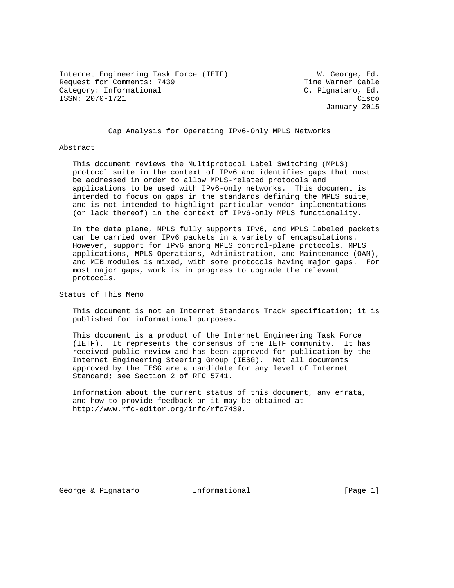Internet Engineering Task Force (IETF) W. George, Ed. Request for Comments: 7439 Time Warner Cable Category: Informational Category: C. Pignataro, Ed. ISSN: 2070-1721 Cisco

January 2015

Gap Analysis for Operating IPv6-Only MPLS Networks

#### Abstract

 This document reviews the Multiprotocol Label Switching (MPLS) protocol suite in the context of IPv6 and identifies gaps that must be addressed in order to allow MPLS-related protocols and applications to be used with IPv6-only networks. This document is intended to focus on gaps in the standards defining the MPLS suite, and is not intended to highlight particular vendor implementations (or lack thereof) in the context of IPv6-only MPLS functionality.

 In the data plane, MPLS fully supports IPv6, and MPLS labeled packets can be carried over IPv6 packets in a variety of encapsulations. However, support for IPv6 among MPLS control-plane protocols, MPLS applications, MPLS Operations, Administration, and Maintenance (OAM), and MIB modules is mixed, with some protocols having major gaps. For most major gaps, work is in progress to upgrade the relevant protocols.

Status of This Memo

 This document is not an Internet Standards Track specification; it is published for informational purposes.

 This document is a product of the Internet Engineering Task Force (IETF). It represents the consensus of the IETF community. It has received public review and has been approved for publication by the Internet Engineering Steering Group (IESG). Not all documents approved by the IESG are a candidate for any level of Internet Standard; see Section 2 of RFC 5741.

 Information about the current status of this document, any errata, and how to provide feedback on it may be obtained at http://www.rfc-editor.org/info/rfc7439.

George & Pignataro **Informational** [Page 1]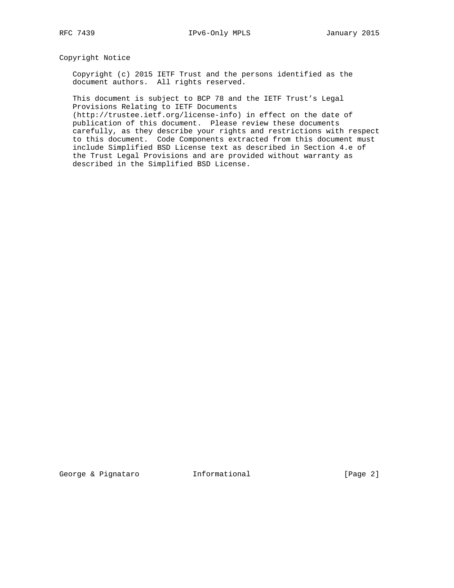Copyright Notice

 Copyright (c) 2015 IETF Trust and the persons identified as the document authors. All rights reserved.

 This document is subject to BCP 78 and the IETF Trust's Legal Provisions Relating to IETF Documents

 (http://trustee.ietf.org/license-info) in effect on the date of publication of this document. Please review these documents carefully, as they describe your rights and restrictions with respect to this document. Code Components extracted from this document must include Simplified BSD License text as described in Section 4.e of the Trust Legal Provisions and are provided without warranty as described in the Simplified BSD License.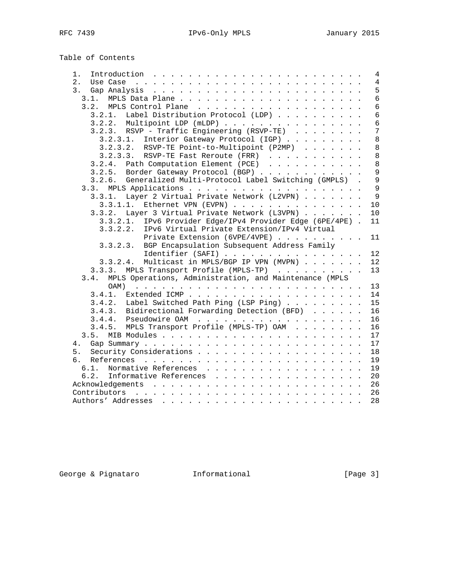# Table of Contents

| 1.<br>Introduction $\ldots \ldots \ldots \ldots \ldots \ldots \ldots \ldots$                                                                                                                                                          | 4              |
|---------------------------------------------------------------------------------------------------------------------------------------------------------------------------------------------------------------------------------------|----------------|
| 2.                                                                                                                                                                                                                                    | $\overline{4}$ |
| 3.                                                                                                                                                                                                                                    | 5              |
| 3.1.                                                                                                                                                                                                                                  | $6\phantom{1}$ |
|                                                                                                                                                                                                                                       | $\sqrt{6}$     |
| 3.2.1. Label Distribution Protocol (LDP)                                                                                                                                                                                              | $\sqrt{6}$     |
| 3.2.2. Multipoint LDP (mLDP)                                                                                                                                                                                                          | 6              |
| 3.2.3. RSVP - Traffic Engineering (RSVP-TE)                                                                                                                                                                                           | 7              |
| 3.2.3.1. Interior Gateway Protocol (IGP)                                                                                                                                                                                              | 8              |
| $3.2.3.2.$ RSVP-TE Point-to-Multipoint (P2MP)                                                                                                                                                                                         | $\,8\,$        |
| 3.2.3.3. RSVP-TE Fast Reroute (FRR) $\ldots$                                                                                                                                                                                          | $\,8\,$        |
| 3.2.4. Path Computation Element (PCE)                                                                                                                                                                                                 | $\,8\,$        |
| 3.2.5. Border Gateway Protocol (BGP)                                                                                                                                                                                                  | 9              |
| Generalized Multi-Protocol Label Switching (GMPLS) .<br>3.2.6.                                                                                                                                                                        | 9              |
|                                                                                                                                                                                                                                       | 9              |
| 3.3.1. Layer 2 Virtual Private Network (L2VPN)                                                                                                                                                                                        | 9              |
| 3.3.1.1. Ethernet VPN (EVPN)                                                                                                                                                                                                          | 10             |
| 3.3.2. Layer 3 Virtual Private Network (L3VPN)                                                                                                                                                                                        | 10             |
| 3.3.2.1. IPv6 Provider Edge/IPv4 Provider Edge (6PE/4PE).                                                                                                                                                                             | 11             |
| 3.3.2.2.<br>IPv6 Virtual Private Extension/IPv4 Virtual                                                                                                                                                                               |                |
| Private Extension (6VPE/4VPE)                                                                                                                                                                                                         | 11             |
| 3.3.2.3. BGP Encapsulation Subsequent Address Family                                                                                                                                                                                  |                |
| Identifier (SAFI)                                                                                                                                                                                                                     | 12             |
| 3.3.2.4. Multicast in MPLS/BGP IP VPN (MVPN)                                                                                                                                                                                          | 12             |
| 3.3.3. MPLS Transport Profile (MPLS-TP)                                                                                                                                                                                               | 13             |
| 3.4. MPLS Operations, Administration, and Maintenance (MPLS                                                                                                                                                                           |                |
| OAM)<br>and a construction of the construction of the construction of the construction of the construction of the construction of the construction of the construction of the construction of the construction of the construction of | 13             |
|                                                                                                                                                                                                                                       | 14             |
| 3.4.2. Label Switched Path Ping (LSP Ping)                                                                                                                                                                                            | 15             |
| 3.4.3. Bidirectional Forwarding Detection (BFD)                                                                                                                                                                                       | 16             |
|                                                                                                                                                                                                                                       | 16             |
| 3.4.5. MPLS Transport Profile (MPLS-TP) OAM                                                                                                                                                                                           | 16             |
|                                                                                                                                                                                                                                       | 17             |
| 4.                                                                                                                                                                                                                                    | 17             |
| 5.                                                                                                                                                                                                                                    | 18             |
| б.                                                                                                                                                                                                                                    | 19             |
|                                                                                                                                                                                                                                       | 19             |
| 6.2. Informative References                                                                                                                                                                                                           | 20             |
|                                                                                                                                                                                                                                       | 26             |
|                                                                                                                                                                                                                                       | 26             |
|                                                                                                                                                                                                                                       | 28             |

George & Pignataro **Informational** [Page 3]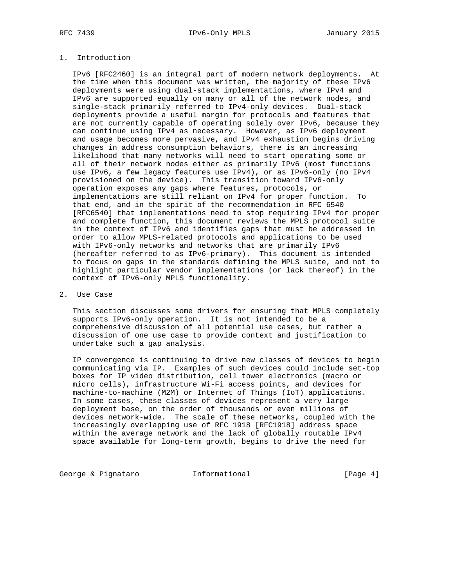# 1. Introduction

 IPv6 [RFC2460] is an integral part of modern network deployments. At the time when this document was written, the majority of these IPv6 deployments were using dual-stack implementations, where IPv4 and IPv6 are supported equally on many or all of the network nodes, and single-stack primarily referred to IPv4-only devices. Dual-stack deployments provide a useful margin for protocols and features that are not currently capable of operating solely over IPv6, because they can continue using IPv4 as necessary. However, as IPv6 deployment and usage becomes more pervasive, and IPv4 exhaustion begins driving changes in address consumption behaviors, there is an increasing likelihood that many networks will need to start operating some or all of their network nodes either as primarily IPv6 (most functions use IPv6, a few legacy features use IPv4), or as IPv6-only (no IPv4 provisioned on the device). This transition toward IPv6-only operation exposes any gaps where features, protocols, or implementations are still reliant on IPv4 for proper function. To that end, and in the spirit of the recommendation in RFC 6540 [RFC6540] that implementations need to stop requiring IPv4 for proper and complete function, this document reviews the MPLS protocol suite in the context of IPv6 and identifies gaps that must be addressed in order to allow MPLS-related protocols and applications to be used with IPv6-only networks and networks that are primarily IPv6 (hereafter referred to as IPv6-primary). This document is intended to focus on gaps in the standards defining the MPLS suite, and not to highlight particular vendor implementations (or lack thereof) in the context of IPv6-only MPLS functionality.

# 2. Use Case

 This section discusses some drivers for ensuring that MPLS completely supports IPv6-only operation. It is not intended to be a comprehensive discussion of all potential use cases, but rather a discussion of one use case to provide context and justification to undertake such a gap analysis.

 IP convergence is continuing to drive new classes of devices to begin communicating via IP. Examples of such devices could include set-top boxes for IP video distribution, cell tower electronics (macro or micro cells), infrastructure Wi-Fi access points, and devices for machine-to-machine (M2M) or Internet of Things (IoT) applications. In some cases, these classes of devices represent a very large deployment base, on the order of thousands or even millions of devices network-wide. The scale of these networks, coupled with the increasingly overlapping use of RFC 1918 [RFC1918] address space within the average network and the lack of globally routable IPv4 space available for long-term growth, begins to drive the need for

George & Pignataro  $I_n$  Informational  $[Page 4]$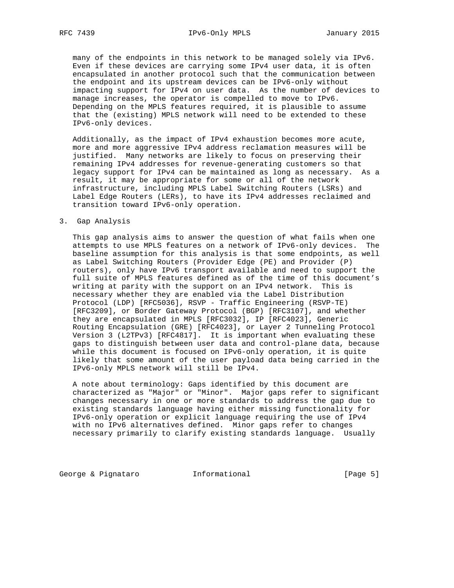many of the endpoints in this network to be managed solely via IPv6. Even if these devices are carrying some IPv4 user data, it is often encapsulated in another protocol such that the communication between the endpoint and its upstream devices can be IPv6-only without impacting support for IPv4 on user data. As the number of devices to manage increases, the operator is compelled to move to IPv6. Depending on the MPLS features required, it is plausible to assume that the (existing) MPLS network will need to be extended to these IPv6-only devices.

 Additionally, as the impact of IPv4 exhaustion becomes more acute, more and more aggressive IPv4 address reclamation measures will be justified. Many networks are likely to focus on preserving their remaining IPv4 addresses for revenue-generating customers so that legacy support for IPv4 can be maintained as long as necessary. As a result, it may be appropriate for some or all of the network infrastructure, including MPLS Label Switching Routers (LSRs) and Label Edge Routers (LERs), to have its IPv4 addresses reclaimed and transition toward IPv6-only operation.

### 3. Gap Analysis

 This gap analysis aims to answer the question of what fails when one attempts to use MPLS features on a network of IPv6-only devices. The baseline assumption for this analysis is that some endpoints, as well as Label Switching Routers (Provider Edge (PE) and Provider (P) routers), only have IPv6 transport available and need to support the full suite of MPLS features defined as of the time of this document's writing at parity with the support on an IPv4 network. This is necessary whether they are enabled via the Label Distribution Protocol (LDP) [RFC5036], RSVP - Traffic Engineering (RSVP-TE) [RFC3209], or Border Gateway Protocol (BGP) [RFC3107], and whether they are encapsulated in MPLS [RFC3032], IP [RFC4023], Generic Routing Encapsulation (GRE) [RFC4023], or Layer 2 Tunneling Protocol Version 3 (L2TPv3) [RFC4817]. It is important when evaluating these gaps to distinguish between user data and control-plane data, because while this document is focused on IPv6-only operation, it is quite likely that some amount of the user payload data being carried in the IPv6-only MPLS network will still be IPv4.

 A note about terminology: Gaps identified by this document are characterized as "Major" or "Minor". Major gaps refer to significant changes necessary in one or more standards to address the gap due to existing standards language having either missing functionality for IPv6-only operation or explicit language requiring the use of IPv4 with no IPv6 alternatives defined. Minor gaps refer to changes necessary primarily to clarify existing standards language. Usually

George & Pignataro  $I_n$  Informational (Page 5)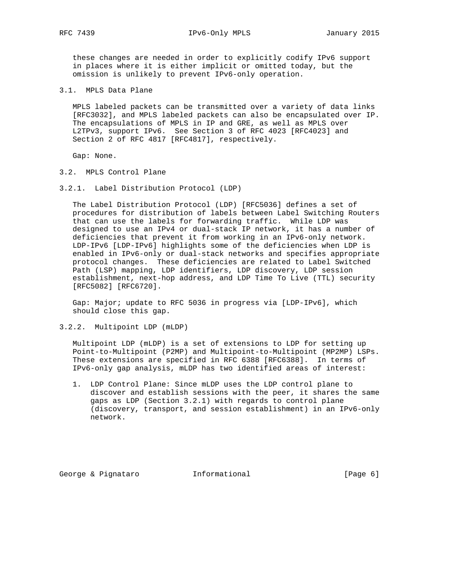RFC 7439 **IPv6-Only MPLS** January 2015

 these changes are needed in order to explicitly codify IPv6 support in places where it is either implicit or omitted today, but the omission is unlikely to prevent IPv6-only operation.

3.1. MPLS Data Plane

 MPLS labeled packets can be transmitted over a variety of data links [RFC3032], and MPLS labeled packets can also be encapsulated over IP. The encapsulations of MPLS in IP and GRE, as well as MPLS over L2TPv3, support IPv6. See Section 3 of RFC 4023 [RFC4023] and Section 2 of RFC 4817 [RFC4817], respectively.

Gap: None.

- 3.2. MPLS Control Plane
- 3.2.1. Label Distribution Protocol (LDP)

 The Label Distribution Protocol (LDP) [RFC5036] defines a set of procedures for distribution of labels between Label Switching Routers that can use the labels for forwarding traffic. While LDP was designed to use an IPv4 or dual-stack IP network, it has a number of deficiencies that prevent it from working in an IPv6-only network. LDP-IPv6 [LDP-IPv6] highlights some of the deficiencies when LDP is enabled in IPv6-only or dual-stack networks and specifies appropriate protocol changes. These deficiencies are related to Label Switched Path (LSP) mapping, LDP identifiers, LDP discovery, LDP session establishment, next-hop address, and LDP Time To Live (TTL) security [RFC5082] [RFC6720].

 Gap: Major; update to RFC 5036 in progress via [LDP-IPv6], which should close this gap.

3.2.2. Multipoint LDP (mLDP)

 Multipoint LDP (mLDP) is a set of extensions to LDP for setting up Point-to-Multipoint (P2MP) and Multipoint-to-Multipoint (MP2MP) LSPs. These extensions are specified in RFC 6388 [RFC6388]. In terms of IPv6-only gap analysis, mLDP has two identified areas of interest:

 1. LDP Control Plane: Since mLDP uses the LDP control plane to discover and establish sessions with the peer, it shares the same gaps as LDP (Section 3.2.1) with regards to control plane (discovery, transport, and session establishment) in an IPv6-only network.

George & Pignataro  $I_n$  Informational [Page 6]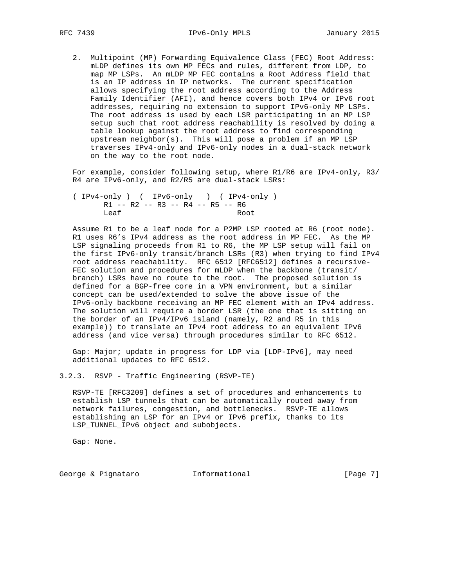2. Multipoint (MP) Forwarding Equivalence Class (FEC) Root Address: mLDP defines its own MP FECs and rules, different from LDP, to map MP LSPs. An mLDP MP FEC contains a Root Address field that is an IP address in IP networks. The current specification allows specifying the root address according to the Address Family Identifier (AFI), and hence covers both IPv4 or IPv6 root addresses, requiring no extension to support IPv6-only MP LSPs. The root address is used by each LSR participating in an MP LSP setup such that root address reachability is resolved by doing a table lookup against the root address to find corresponding upstream neighbor(s). This will pose a problem if an MP LSP traverses IPv4-only and IPv6-only nodes in a dual-stack network on the way to the root node.

 For example, consider following setup, where R1/R6 are IPv4-only, R3/ R4 are IPv6-only, and R2/R5 are dual-stack LSRs:

 ( IPv4-only ) ( IPv6-only ) ( IPv4-only ) R1 -- R2 -- R3 -- R4 -- R5 -- R6 Leaf Root

 Assume R1 to be a leaf node for a P2MP LSP rooted at R6 (root node). R1 uses R6's IPv4 address as the root address in MP FEC. As the MP LSP signaling proceeds from R1 to R6, the MP LSP setup will fail on the first IPv6-only transit/branch LSRs (R3) when trying to find IPv4 root address reachability. RFC 6512 [RFC6512] defines a recursive- FEC solution and procedures for mLDP when the backbone (transit/ branch) LSRs have no route to the root. The proposed solution is defined for a BGP-free core in a VPN environment, but a similar concept can be used/extended to solve the above issue of the IPv6-only backbone receiving an MP FEC element with an IPv4 address. The solution will require a border LSR (the one that is sitting on the border of an IPv4/IPv6 island (namely, R2 and R5 in this example)) to translate an IPv4 root address to an equivalent IPv6 address (and vice versa) through procedures similar to RFC 6512.

 Gap: Major; update in progress for LDP via [LDP-IPv6], may need additional updates to RFC 6512.

3.2.3. RSVP - Traffic Engineering (RSVP-TE)

 RSVP-TE [RFC3209] defines a set of procedures and enhancements to establish LSP tunnels that can be automatically routed away from network failures, congestion, and bottlenecks. RSVP-TE allows establishing an LSP for an IPv4 or IPv6 prefix, thanks to its LSP\_TUNNEL\_IPv6 object and subobjects.

Gap: None.

George & Pignataro  $I_n$  Informational [Page 7]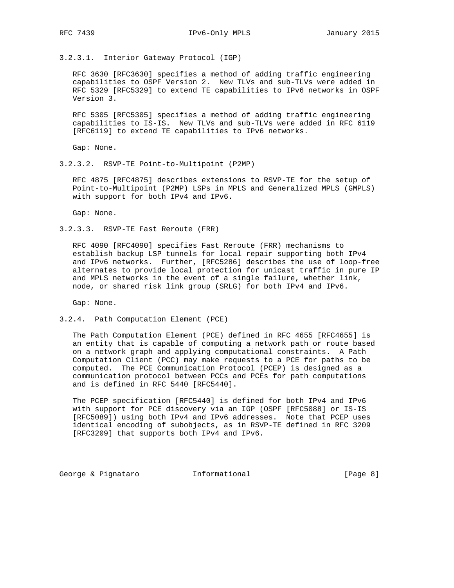3.2.3.1. Interior Gateway Protocol (IGP)

 RFC 3630 [RFC3630] specifies a method of adding traffic engineering capabilities to OSPF Version 2. New TLVs and sub-TLVs were added in RFC 5329 [RFC5329] to extend TE capabilities to IPv6 networks in OSPF Version 3.

 RFC 5305 [RFC5305] specifies a method of adding traffic engineering capabilities to IS-IS. New TLVs and sub-TLVs were added in RFC 6119 [RFC6119] to extend TE capabilities to IPv6 networks.

Gap: None.

3.2.3.2. RSVP-TE Point-to-Multipoint (P2MP)

 RFC 4875 [RFC4875] describes extensions to RSVP-TE for the setup of Point-to-Multipoint (P2MP) LSPs in MPLS and Generalized MPLS (GMPLS) with support for both IPv4 and IPv6.

Gap: None.

3.2.3.3. RSVP-TE Fast Reroute (FRR)

 RFC 4090 [RFC4090] specifies Fast Reroute (FRR) mechanisms to establish backup LSP tunnels for local repair supporting both IPv4 and IPv6 networks. Further, [RFC5286] describes the use of loop-free alternates to provide local protection for unicast traffic in pure IP and MPLS networks in the event of a single failure, whether link, node, or shared risk link group (SRLG) for both IPv4 and IPv6.

Gap: None.

3.2.4. Path Computation Element (PCE)

 The Path Computation Element (PCE) defined in RFC 4655 [RFC4655] is an entity that is capable of computing a network path or route based on a network graph and applying computational constraints. A Path Computation Client (PCC) may make requests to a PCE for paths to be computed. The PCE Communication Protocol (PCEP) is designed as a communication protocol between PCCs and PCEs for path computations and is defined in RFC 5440 [RFC5440].

 The PCEP specification [RFC5440] is defined for both IPv4 and IPv6 with support for PCE discovery via an IGP (OSPF [RFC5088] or IS-IS [RFC5089]) using both IPv4 and IPv6 addresses. Note that PCEP uses identical encoding of subobjects, as in RSVP-TE defined in RFC 3209 [RFC3209] that supports both IPv4 and IPv6.

George & Pignataro  $I_n$  Informational (Page 8)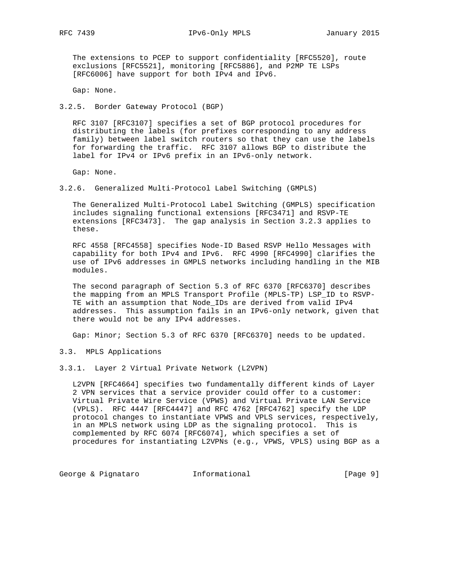RFC 7439 **IPv6-Only MPLS** January 2015

 The extensions to PCEP to support confidentiality [RFC5520], route exclusions [RFC5521], monitoring [RFC5886], and P2MP TE LSPs [RFC6006] have support for both IPv4 and IPv6.

Gap: None.

3.2.5. Border Gateway Protocol (BGP)

 RFC 3107 [RFC3107] specifies a set of BGP protocol procedures for distributing the labels (for prefixes corresponding to any address family) between label switch routers so that they can use the labels for forwarding the traffic. RFC 3107 allows BGP to distribute the label for IPv4 or IPv6 prefix in an IPv6-only network.

Gap: None.

3.2.6. Generalized Multi-Protocol Label Switching (GMPLS)

 The Generalized Multi-Protocol Label Switching (GMPLS) specification includes signaling functional extensions [RFC3471] and RSVP-TE extensions [RFC3473]. The gap analysis in Section 3.2.3 applies to these.

 RFC 4558 [RFC4558] specifies Node-ID Based RSVP Hello Messages with capability for both IPv4 and IPv6. RFC 4990 [RFC4990] clarifies the use of IPv6 addresses in GMPLS networks including handling in the MIB modules.

 The second paragraph of Section 5.3 of RFC 6370 [RFC6370] describes the mapping from an MPLS Transport Profile (MPLS-TP) LSP\_ID to RSVP- TE with an assumption that Node\_IDs are derived from valid IPv4 addresses. This assumption fails in an IPv6-only network, given that there would not be any IPv4 addresses.

Gap: Minor; Section 5.3 of RFC 6370 [RFC6370] needs to be updated.

3.3. MPLS Applications

3.3.1. Layer 2 Virtual Private Network (L2VPN)

 L2VPN [RFC4664] specifies two fundamentally different kinds of Layer 2 VPN services that a service provider could offer to a customer: Virtual Private Wire Service (VPWS) and Virtual Private LAN Service (VPLS). RFC 4447 [RFC4447] and RFC 4762 [RFC4762] specify the LDP protocol changes to instantiate VPWS and VPLS services, respectively, in an MPLS network using LDP as the signaling protocol. This is complemented by RFC 6074 [RFC6074], which specifies a set of procedures for instantiating L2VPNs (e.g., VPWS, VPLS) using BGP as a

George & Pignataro  $I_n$  Informational (Page 9)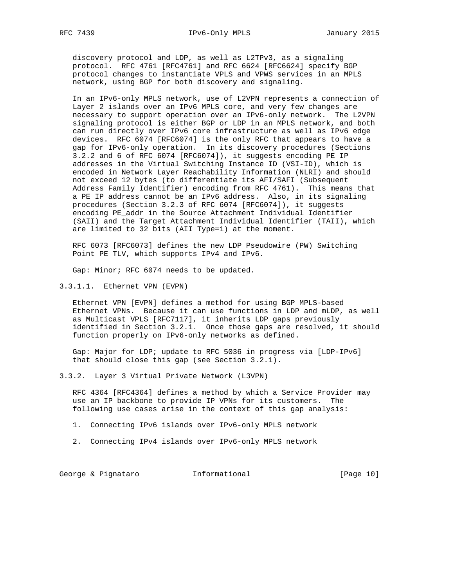discovery protocol and LDP, as well as L2TPv3, as a signaling protocol. RFC 4761 [RFC4761] and RFC 6624 [RFC6624] specify BGP protocol changes to instantiate VPLS and VPWS services in an MPLS network, using BGP for both discovery and signaling.

 In an IPv6-only MPLS network, use of L2VPN represents a connection of Layer 2 islands over an IPv6 MPLS core, and very few changes are necessary to support operation over an IPv6-only network. The L2VPN signaling protocol is either BGP or LDP in an MPLS network, and both can run directly over IPv6 core infrastructure as well as IPv6 edge devices. RFC 6074 [RFC6074] is the only RFC that appears to have a gap for IPv6-only operation. In its discovery procedures (Sections 3.2.2 and 6 of RFC 6074 [RFC6074]), it suggests encoding PE IP addresses in the Virtual Switching Instance ID (VSI-ID), which is encoded in Network Layer Reachability Information (NLRI) and should not exceed 12 bytes (to differentiate its AFI/SAFI (Subsequent Address Family Identifier) encoding from RFC 4761). This means that a PE IP address cannot be an IPv6 address. Also, in its signaling procedures (Section 3.2.3 of RFC 6074 [RFC6074]), it suggests encoding PE\_addr in the Source Attachment Individual Identifier (SAII) and the Target Attachment Individual Identifier (TAII), which are limited to 32 bits (AII Type=1) at the moment.

 RFC 6073 [RFC6073] defines the new LDP Pseudowire (PW) Switching Point PE TLV, which supports IPv4 and IPv6.

Gap: Minor; RFC 6074 needs to be updated.

3.3.1.1. Ethernet VPN (EVPN)

 Ethernet VPN [EVPN] defines a method for using BGP MPLS-based Ethernet VPNs. Because it can use functions in LDP and mLDP, as well as Multicast VPLS [RFC7117], it inherits LDP gaps previously identified in Section 3.2.1. Once those gaps are resolved, it should function properly on IPv6-only networks as defined.

 Gap: Major for LDP; update to RFC 5036 in progress via [LDP-IPv6] that should close this gap (see Section 3.2.1).

3.3.2. Layer 3 Virtual Private Network (L3VPN)

 RFC 4364 [RFC4364] defines a method by which a Service Provider may use an IP backbone to provide IP VPNs for its customers. The following use cases arise in the context of this gap analysis:

1. Connecting IPv6 islands over IPv6-only MPLS network

2. Connecting IPv4 islands over IPv6-only MPLS network

George & Pignataro  $I_n$  Informational [Page 10]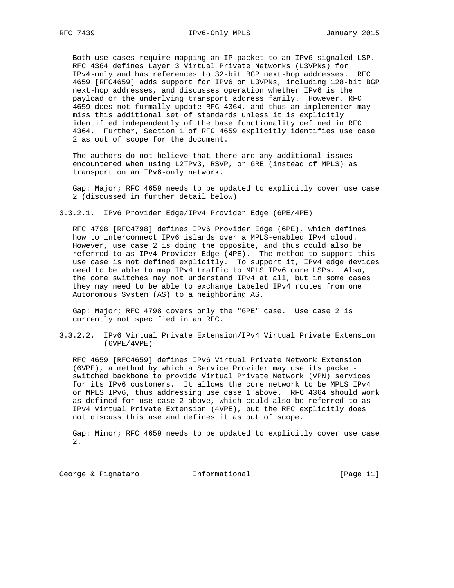Both use cases require mapping an IP packet to an IPv6-signaled LSP. RFC 4364 defines Layer 3 Virtual Private Networks (L3VPNs) for IPv4-only and has references to 32-bit BGP next-hop addresses. RFC 4659 [RFC4659] adds support for IPv6 on L3VPNs, including 128-bit BGP next-hop addresses, and discusses operation whether IPv6 is the payload or the underlying transport address family. However, RFC 4659 does not formally update RFC 4364, and thus an implementer may miss this additional set of standards unless it is explicitly identified independently of the base functionality defined in RFC 4364. Further, Section 1 of RFC 4659 explicitly identifies use case 2 as out of scope for the document.

 The authors do not believe that there are any additional issues encountered when using L2TPv3, RSVP, or GRE (instead of MPLS) as transport on an IPv6-only network.

 Gap: Major; RFC 4659 needs to be updated to explicitly cover use case 2 (discussed in further detail below)

3.3.2.1. IPv6 Provider Edge/IPv4 Provider Edge (6PE/4PE)

 RFC 4798 [RFC4798] defines IPv6 Provider Edge (6PE), which defines how to interconnect IPv6 islands over a MPLS-enabled IPv4 cloud. However, use case 2 is doing the opposite, and thus could also be referred to as IPv4 Provider Edge (4PE). The method to support this use case is not defined explicitly. To support it, IPv4 edge devices need to be able to map IPv4 traffic to MPLS IPv6 core LSPs. Also, the core switches may not understand IPv4 at all, but in some cases they may need to be able to exchange Labeled IPv4 routes from one Autonomous System (AS) to a neighboring AS.

 Gap: Major; RFC 4798 covers only the "6PE" case. Use case 2 is currently not specified in an RFC.

3.3.2.2. IPv6 Virtual Private Extension/IPv4 Virtual Private Extension (6VPE/4VPE)

 RFC 4659 [RFC4659] defines IPv6 Virtual Private Network Extension (6VPE), a method by which a Service Provider may use its packet switched backbone to provide Virtual Private Network (VPN) services for its IPv6 customers. It allows the core network to be MPLS IPv4 or MPLS IPv6, thus addressing use case 1 above. RFC 4364 should work as defined for use case 2 above, which could also be referred to as IPv4 Virtual Private Extension (4VPE), but the RFC explicitly does not discuss this use and defines it as out of scope.

 Gap: Minor; RFC 4659 needs to be updated to explicitly cover use case 2.

George & Pignataro  $I_n$ Informational [Page 11]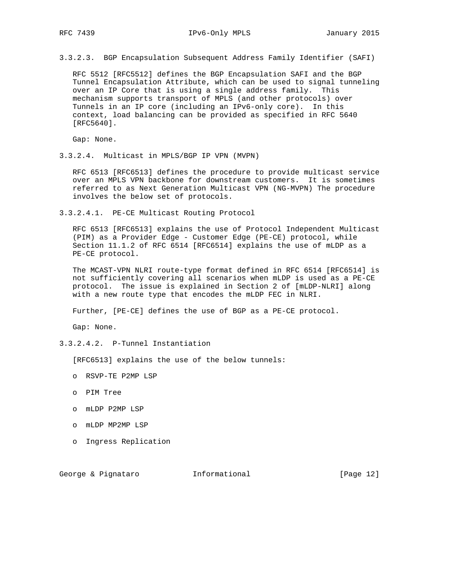RFC 7439 **IPv6-Only MPLS** January 2015

3.3.2.3. BGP Encapsulation Subsequent Address Family Identifier (SAFI)

 RFC 5512 [RFC5512] defines the BGP Encapsulation SAFI and the BGP Tunnel Encapsulation Attribute, which can be used to signal tunneling over an IP Core that is using a single address family. This mechanism supports transport of MPLS (and other protocols) over Tunnels in an IP core (including an IPv6-only core). In this context, load balancing can be provided as specified in RFC 5640 [RFC5640].

Gap: None.

3.3.2.4. Multicast in MPLS/BGP IP VPN (MVPN)

 RFC 6513 [RFC6513] defines the procedure to provide multicast service over an MPLS VPN backbone for downstream customers. It is sometimes referred to as Next Generation Multicast VPN (NG-MVPN) The procedure involves the below set of protocols.

3.3.2.4.1. PE-CE Multicast Routing Protocol

 RFC 6513 [RFC6513] explains the use of Protocol Independent Multicast (PIM) as a Provider Edge - Customer Edge (PE-CE) protocol, while Section 11.1.2 of RFC 6514 [RFC6514] explains the use of mLDP as a PE-CE protocol.

 The MCAST-VPN NLRI route-type format defined in RFC 6514 [RFC6514] is not sufficiently covering all scenarios when mLDP is used as a PE-CE protocol. The issue is explained in Section 2 of [mLDP-NLRI] along with a new route type that encodes the mLDP FEC in NLRI.

Further, [PE-CE] defines the use of BGP as a PE-CE protocol.

Gap: None.

3.3.2.4.2. P-Tunnel Instantiation

[RFC6513] explains the use of the below tunnels:

- o RSVP-TE P2MP LSP
- o PIM Tree
- o mLDP P2MP LSP
- o mLDP MP2MP LSP
- o Ingress Replication

George & Pignataro **Informational** [Page 12]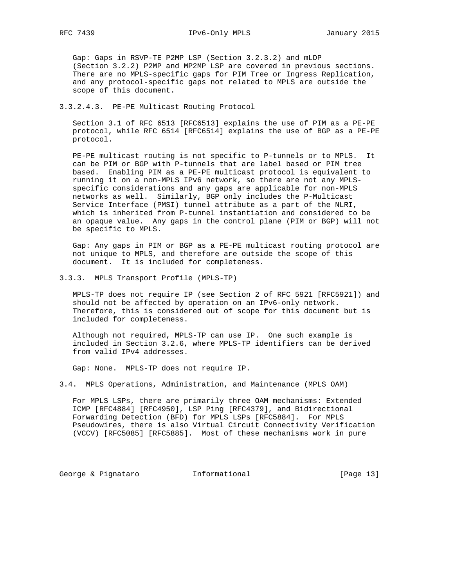Gap: Gaps in RSVP-TE P2MP LSP (Section 3.2.3.2) and mLDP (Section 3.2.2) P2MP and MP2MP LSP are covered in previous sections. There are no MPLS-specific gaps for PIM Tree or Ingress Replication, and any protocol-specific gaps not related to MPLS are outside the scope of this document.

# 3.3.2.4.3. PE-PE Multicast Routing Protocol

 Section 3.1 of RFC 6513 [RFC6513] explains the use of PIM as a PE-PE protocol, while RFC 6514 [RFC6514] explains the use of BGP as a PE-PE protocol.

 PE-PE multicast routing is not specific to P-tunnels or to MPLS. It can be PIM or BGP with P-tunnels that are label based or PIM tree based. Enabling PIM as a PE-PE multicast protocol is equivalent to running it on a non-MPLS IPv6 network, so there are not any MPLS specific considerations and any gaps are applicable for non-MPLS networks as well. Similarly, BGP only includes the P-Multicast Service Interface (PMSI) tunnel attribute as a part of the NLRI, which is inherited from P-tunnel instantiation and considered to be an opaque value. Any gaps in the control plane (PIM or BGP) will not be specific to MPLS.

 Gap: Any gaps in PIM or BGP as a PE-PE multicast routing protocol are not unique to MPLS, and therefore are outside the scope of this document. It is included for completeness.

#### 3.3.3. MPLS Transport Profile (MPLS-TP)

 MPLS-TP does not require IP (see Section 2 of RFC 5921 [RFC5921]) and should not be affected by operation on an IPv6-only network. Therefore, this is considered out of scope for this document but is included for completeness.

 Although not required, MPLS-TP can use IP. One such example is included in Section 3.2.6, where MPLS-TP identifiers can be derived from valid IPv4 addresses.

Gap: None. MPLS-TP does not require IP.

3.4. MPLS Operations, Administration, and Maintenance (MPLS OAM)

 For MPLS LSPs, there are primarily three OAM mechanisms: Extended ICMP [RFC4884] [RFC4950], LSP Ping [RFC4379], and Bidirectional Forwarding Detection (BFD) for MPLS LSPs [RFC5884]. For MPLS Pseudowires, there is also Virtual Circuit Connectivity Verification (VCCV) [RFC5085] [RFC5885]. Most of these mechanisms work in pure

George & Pignataro  $I_n$  Informational [Page 13]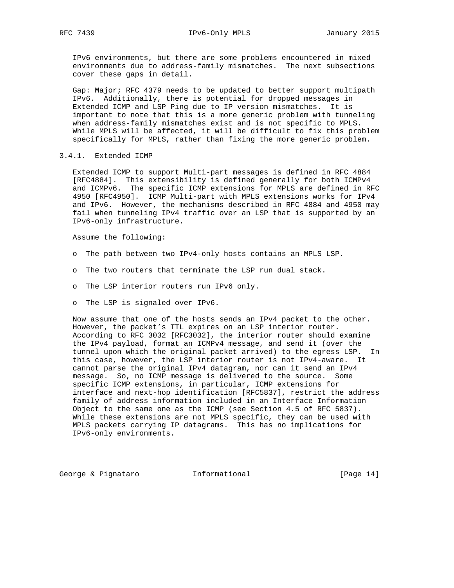IPv6 environments, but there are some problems encountered in mixed environments due to address-family mismatches. The next subsections cover these gaps in detail.

 Gap: Major; RFC 4379 needs to be updated to better support multipath IPv6. Additionally, there is potential for dropped messages in Extended ICMP and LSP Ping due to IP version mismatches. It is important to note that this is a more generic problem with tunneling when address-family mismatches exist and is not specific to MPLS. While MPLS will be affected, it will be difficult to fix this problem specifically for MPLS, rather than fixing the more generic problem.

#### 3.4.1. Extended ICMP

 Extended ICMP to support Multi-part messages is defined in RFC 4884 [RFC4884]. This extensibility is defined generally for both ICMPv4 and ICMPv6. The specific ICMP extensions for MPLS are defined in RFC 4950 [RFC4950]. ICMP Multi-part with MPLS extensions works for IPv4 and IPv6. However, the mechanisms described in RFC 4884 and 4950 may fail when tunneling IPv4 traffic over an LSP that is supported by an IPv6-only infrastructure.

Assume the following:

- o The path between two IPv4-only hosts contains an MPLS LSP.
- o The two routers that terminate the LSP run dual stack.
- o The LSP interior routers run IPv6 only.
- o The LSP is signaled over IPv6.

 Now assume that one of the hosts sends an IPv4 packet to the other. However, the packet's TTL expires on an LSP interior router. According to RFC 3032 [RFC3032], the interior router should examine the IPv4 payload, format an ICMPv4 message, and send it (over the tunnel upon which the original packet arrived) to the egress LSP. In this case, however, the LSP interior router is not IPv4-aware. It cannot parse the original IPv4 datagram, nor can it send an IPv4 message. So, no ICMP message is delivered to the source. Some specific ICMP extensions, in particular, ICMP extensions for interface and next-hop identification [RFC5837], restrict the address family of address information included in an Interface Information Object to the same one as the ICMP (see Section 4.5 of RFC 5837). While these extensions are not MPLS specific, they can be used with MPLS packets carrying IP datagrams. This has no implications for IPv6-only environments.

George & Pignataro  $I_n$  Informational [Page 14]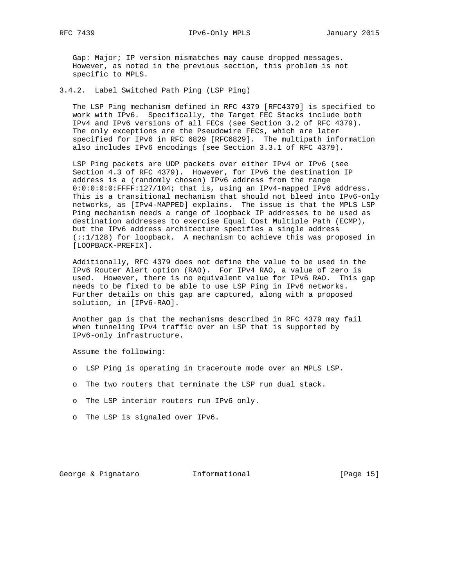Gap: Major; IP version mismatches may cause dropped messages. However, as noted in the previous section, this problem is not specific to MPLS.

3.4.2. Label Switched Path Ping (LSP Ping)

 The LSP Ping mechanism defined in RFC 4379 [RFC4379] is specified to work with IPv6. Specifically, the Target FEC Stacks include both IPv4 and IPv6 versions of all FECs (see Section 3.2 of RFC 4379). The only exceptions are the Pseudowire FECs, which are later specified for IPv6 in RFC 6829 [RFC6829]. The multipath information also includes IPv6 encodings (see Section 3.3.1 of RFC 4379).

 LSP Ping packets are UDP packets over either IPv4 or IPv6 (see Section 4.3 of RFC 4379). However, for IPv6 the destination IP address is a (randomly chosen) IPv6 address from the range 0:0:0:0:0:FFFF:127/104; that is, using an IPv4-mapped IPv6 address. This is a transitional mechanism that should not bleed into IPv6-only networks, as [IPv4-MAPPED] explains. The issue is that the MPLS LSP Ping mechanism needs a range of loopback IP addresses to be used as destination addresses to exercise Equal Cost Multiple Path (ECMP), but the IPv6 address architecture specifies a single address (::1/128) for loopback. A mechanism to achieve this was proposed in [LOOPBACK-PREFIX].

 Additionally, RFC 4379 does not define the value to be used in the IPv6 Router Alert option (RAO). For IPv4 RAO, a value of zero is used. However, there is no equivalent value for IPv6 RAO. This gap needs to be fixed to be able to use LSP Ping in IPv6 networks. Further details on this gap are captured, along with a proposed solution, in [IPv6-RAO].

 Another gap is that the mechanisms described in RFC 4379 may fail when tunneling IPv4 traffic over an LSP that is supported by IPv6-only infrastructure.

Assume the following:

- o LSP Ping is operating in traceroute mode over an MPLS LSP.
- o The two routers that terminate the LSP run dual stack.
- o The LSP interior routers run IPv6 only.
- o The LSP is signaled over IPv6.

George & Pignataro  $I_n$  Informational [Page 15]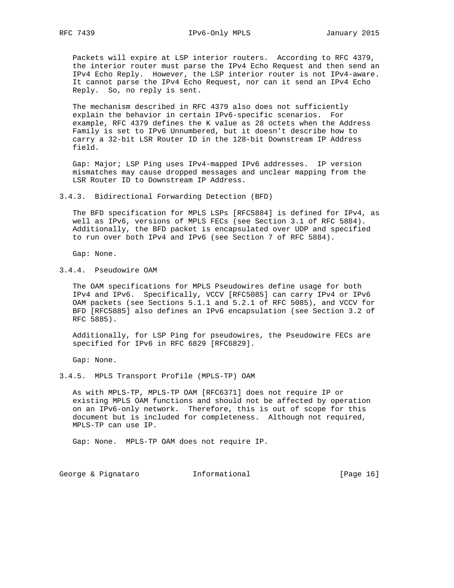Packets will expire at LSP interior routers. According to RFC 4379, the interior router must parse the IPv4 Echo Request and then send an IPv4 Echo Reply. However, the LSP interior router is not IPv4-aware. It cannot parse the IPv4 Echo Request, nor can it send an IPv4 Echo Reply. So, no reply is sent.

 The mechanism described in RFC 4379 also does not sufficiently explain the behavior in certain IPv6-specific scenarios. For example, RFC 4379 defines the K value as 28 octets when the Address Family is set to IPv6 Unnumbered, but it doesn't describe how to carry a 32-bit LSR Router ID in the 128-bit Downstream IP Address field.

 Gap: Major; LSP Ping uses IPv4-mapped IPv6 addresses. IP version mismatches may cause dropped messages and unclear mapping from the LSR Router ID to Downstream IP Address.

3.4.3. Bidirectional Forwarding Detection (BFD)

 The BFD specification for MPLS LSPs [RFC5884] is defined for IPv4, as well as IPv6, versions of MPLS FECs (see Section 3.1 of RFC 5884). Additionally, the BFD packet is encapsulated over UDP and specified to run over both IPv4 and IPv6 (see Section 7 of RFC 5884).

Gap: None.

3.4.4. Pseudowire OAM

 The OAM specifications for MPLS Pseudowires define usage for both IPv4 and IPv6. Specifically, VCCV [RFC5085] can carry IPv4 or IPv6 OAM packets (see Sections 5.1.1 and 5.2.1 of RFC 5085), and VCCV for BFD [RFC5885] also defines an IPv6 encapsulation (see Section 3.2 of RFC 5885).

 Additionally, for LSP Ping for pseudowires, the Pseudowire FECs are specified for IPv6 in RFC 6829 [RFC6829].

Gap: None.

3.4.5. MPLS Transport Profile (MPLS-TP) OAM

 As with MPLS-TP, MPLS-TP OAM [RFC6371] does not require IP or existing MPLS OAM functions and should not be affected by operation on an IPv6-only network. Therefore, this is out of scope for this document but is included for completeness. Although not required, MPLS-TP can use IP.

Gap: None. MPLS-TP OAM does not require IP.

George & Pignataro  $I_n$  Informational [Page 16]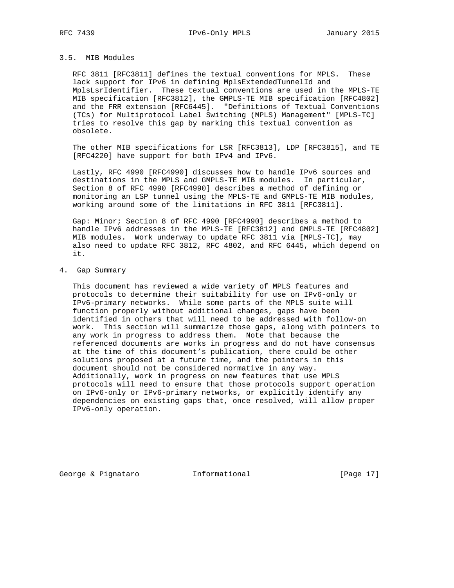# 3.5. MIB Modules

 RFC 3811 [RFC3811] defines the textual conventions for MPLS. These lack support for IPv6 in defining MplsExtendedTunnelId and MplsLsrIdentifier. These textual conventions are used in the MPLS-TE MIB specification [RFC3812], the GMPLS-TE MIB specification [RFC4802] and the FRR extension [RFC6445]. "Definitions of Textual Conventions (TCs) for Multiprotocol Label Switching (MPLS) Management" [MPLS-TC] tries to resolve this gap by marking this textual convention as obsolete.

 The other MIB specifications for LSR [RFC3813], LDP [RFC3815], and TE [RFC4220] have support for both IPv4 and IPv6.

 Lastly, RFC 4990 [RFC4990] discusses how to handle IPv6 sources and destinations in the MPLS and GMPLS-TE MIB modules. In particular, Section 8 of RFC 4990 [RFC4990] describes a method of defining or monitoring an LSP tunnel using the MPLS-TE and GMPLS-TE MIB modules, working around some of the limitations in RFC 3811 [RFC3811].

 Gap: Minor; Section 8 of RFC 4990 [RFC4990] describes a method to handle IPv6 addresses in the MPLS-TE [RFC3812] and GMPLS-TE [RFC4802] MIB modules. Work underway to update RFC 3811 via [MPLS-TC], may also need to update RFC 3812, RFC 4802, and RFC 6445, which depend on it.

4. Gap Summary

 This document has reviewed a wide variety of MPLS features and protocols to determine their suitability for use on IPv6-only or IPv6-primary networks. While some parts of the MPLS suite will function properly without additional changes, gaps have been identified in others that will need to be addressed with follow-on work. This section will summarize those gaps, along with pointers to any work in progress to address them. Note that because the referenced documents are works in progress and do not have consensus at the time of this document's publication, there could be other solutions proposed at a future time, and the pointers in this document should not be considered normative in any way. Additionally, work in progress on new features that use MPLS protocols will need to ensure that those protocols support operation on IPv6-only or IPv6-primary networks, or explicitly identify any dependencies on existing gaps that, once resolved, will allow proper IPv6-only operation.

George & Pignataro **Informational** [Page 17]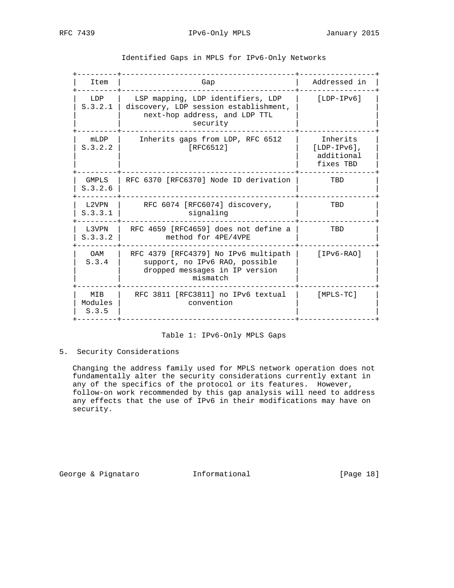| Item                    | Gap                                                                                                                     | Addressed in                                          |
|-------------------------|-------------------------------------------------------------------------------------------------------------------------|-------------------------------------------------------|
| LDP<br>S.3.2.1          | LSP mapping, LDP identifiers, LDP<br>discovery, LDP session establishment,<br>next-hop address, and LDP TTL<br>security | $[LDP-IPV6]$                                          |
| mLDP<br>S.3.2.2         | Inherits gaps from LDP, RFC 6512<br>[RFC6512]                                                                           | Inherits<br>$[LDP-IPV6]$ ,<br>additional<br>fixes TBD |
| GMPLS<br>S.3.2.6        | RFC 6370 [RFC6370] Node ID derivation                                                                                   | TBD                                                   |
| L2VPN<br>S.3.3.1        | RFC 6074 [RFC6074] discovery,<br>signaling                                                                              | TBD                                                   |
| L3VPN<br>S.3.3.2        | RFC 4659 [RFC4659] does not define a<br>method for 4PE/4VPE                                                             | TBD                                                   |
| OAM<br>S.3.4            | RFC 4379 [RFC4379] No IPv6 multipath<br>support, no IPv6 RAO, possible<br>dropped messages in IP version<br>mismatch    | $[IPv6-RAO]$                                          |
| MIB<br>Modules<br>S.3.5 | RFC 3811 [RFC3811] no IPv6 textual<br>convention                                                                        | [MPLS-TC]                                             |

Identified Gaps in MPLS for IPv6-Only Networks

# Table 1: IPv6-Only MPLS Gaps

# 5. Security Considerations

 Changing the address family used for MPLS network operation does not fundamentally alter the security considerations currently extant in any of the specifics of the protocol or its features. However, follow-on work recommended by this gap analysis will need to address any effects that the use of IPv6 in their modifications may have on security.

George & Pignataro  $I_n$  Informational [Page 18]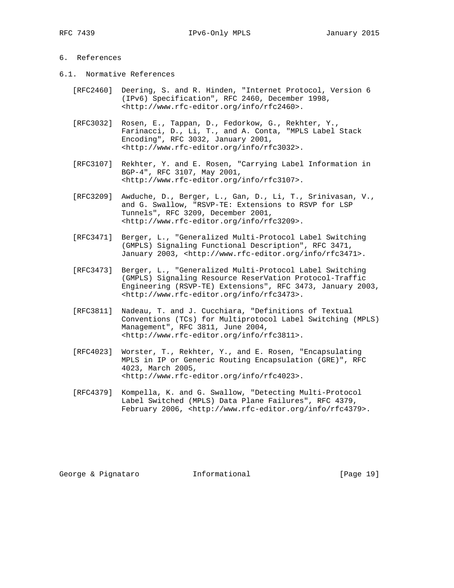RFC 7439 IPv6-Only MPLS January 2015

# 6. References

- 6.1. Normative References
	- [RFC2460] Deering, S. and R. Hinden, "Internet Protocol, Version 6 (IPv6) Specification", RFC 2460, December 1998, <http://www.rfc-editor.org/info/rfc2460>.
	- [RFC3032] Rosen, E., Tappan, D., Fedorkow, G., Rekhter, Y., Farinacci, D., Li, T., and A. Conta, "MPLS Label Stack Encoding", RFC 3032, January 2001, <http://www.rfc-editor.org/info/rfc3032>.
	- [RFC3107] Rekhter, Y. and E. Rosen, "Carrying Label Information in BGP-4", RFC 3107, May 2001, <http://www.rfc-editor.org/info/rfc3107>.
	- [RFC3209] Awduche, D., Berger, L., Gan, D., Li, T., Srinivasan, V., and G. Swallow, "RSVP-TE: Extensions to RSVP for LSP Tunnels", RFC 3209, December 2001, <http://www.rfc-editor.org/info/rfc3209>.
	- [RFC3471] Berger, L., "Generalized Multi-Protocol Label Switching (GMPLS) Signaling Functional Description", RFC 3471, January 2003, <http://www.rfc-editor.org/info/rfc3471>.
	- [RFC3473] Berger, L., "Generalized Multi-Protocol Label Switching (GMPLS) Signaling Resource ReserVation Protocol-Traffic Engineering (RSVP-TE) Extensions", RFC 3473, January 2003, <http://www.rfc-editor.org/info/rfc3473>.
	- [RFC3811] Nadeau, T. and J. Cucchiara, "Definitions of Textual Conventions (TCs) for Multiprotocol Label Switching (MPLS) Management", RFC 3811, June 2004, <http://www.rfc-editor.org/info/rfc3811>.
	- [RFC4023] Worster, T., Rekhter, Y., and E. Rosen, "Encapsulating MPLS in IP or Generic Routing Encapsulation (GRE)", RFC 4023, March 2005, <http://www.rfc-editor.org/info/rfc4023>.
	- [RFC4379] Kompella, K. and G. Swallow, "Detecting Multi-Protocol Label Switched (MPLS) Data Plane Failures", RFC 4379, February 2006, <http://www.rfc-editor.org/info/rfc4379>.

George & Pignataro  $I_n$  Informational [Page 19]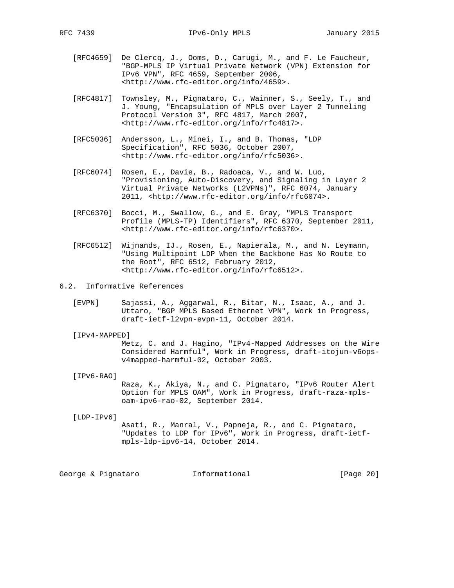- [RFC4659] De Clercq, J., Ooms, D., Carugi, M., and F. Le Faucheur, "BGP-MPLS IP Virtual Private Network (VPN) Extension for IPv6 VPN", RFC 4659, September 2006, <http://www.rfc-editor.org/info/4659>.
- [RFC4817] Townsley, M., Pignataro, C., Wainner, S., Seely, T., and J. Young, "Encapsulation of MPLS over Layer 2 Tunneling Protocol Version 3", RFC 4817, March 2007, <http://www.rfc-editor.org/info/rfc4817>.
- [RFC5036] Andersson, L., Minei, I., and B. Thomas, "LDP Specification", RFC 5036, October 2007, <http://www.rfc-editor.org/info/rfc5036>.
- [RFC6074] Rosen, E., Davie, B., Radoaca, V., and W. Luo, "Provisioning, Auto-Discovery, and Signaling in Layer 2 Virtual Private Networks (L2VPNs)", RFC 6074, January 2011, <http://www.rfc-editor.org/info/rfc6074>.
- [RFC6370] Bocci, M., Swallow, G., and E. Gray, "MPLS Transport Profile (MPLS-TP) Identifiers", RFC 6370, September 2011, <http://www.rfc-editor.org/info/rfc6370>.
- [RFC6512] Wijnands, IJ., Rosen, E., Napierala, M., and N. Leymann, "Using Multipoint LDP When the Backbone Has No Route to the Root", RFC 6512, February 2012, <http://www.rfc-editor.org/info/rfc6512>.
- 6.2. Informative References
	- [EVPN] Sajassi, A., Aggarwal, R., Bitar, N., Isaac, A., and J. Uttaro, "BGP MPLS Based Ethernet VPN", Work in Progress, draft-ietf-l2vpn-evpn-11, October 2014.

#### [IPv4-MAPPED]

 Metz, C. and J. Hagino, "IPv4-Mapped Addresses on the Wire Considered Harmful", Work in Progress, draft-itojun-v6ops v4mapped-harmful-02, October 2003.

# [IPv6-RAO]

 Raza, K., Akiya, N., and C. Pignataro, "IPv6 Router Alert Option for MPLS OAM", Work in Progress, draft-raza-mpls oam-ipv6-rao-02, September 2014.

#### [LDP-IPv6]

 Asati, R., Manral, V., Papneja, R., and C. Pignataro, "Updates to LDP for IPv6", Work in Progress, draft-ietf mpls-ldp-ipv6-14, October 2014.

George & Pignataro  $I_n$  Informational [Page 20]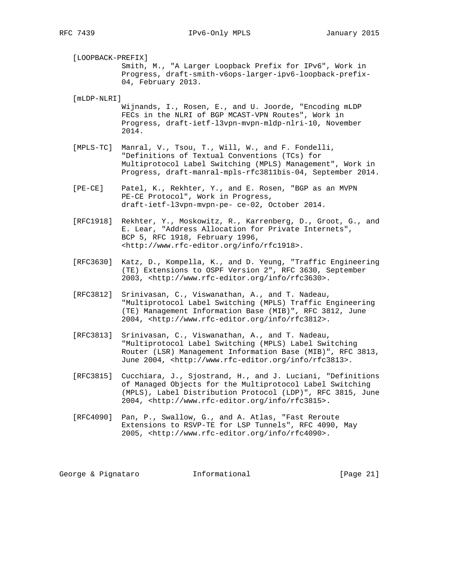[LOOPBACK-PREFIX] Smith, M., "A Larger Loopback Prefix for IPv6", Work in Progress, draft-smith-v6ops-larger-ipv6-loopback-prefix- 04, February 2013.

[mLDP-NLRI]

 Wijnands, I., Rosen, E., and U. Joorde, "Encoding mLDP FECs in the NLRI of BGP MCAST-VPN Routes", Work in Progress, draft-ietf-l3vpn-mvpn-mldp-nlri-10, November 2014.

- [MPLS-TC] Manral, V., Tsou, T., Will, W., and F. Fondelli, "Definitions of Textual Conventions (TCs) for Multiprotocol Label Switching (MPLS) Management", Work in Progress, draft-manral-mpls-rfc3811bis-04, September 2014.
- [PE-CE] Patel, K., Rekhter, Y., and E. Rosen, "BGP as an MVPN PE-CE Protocol", Work in Progress, draft-ietf-l3vpn-mvpn-pe- ce-02, October 2014.
- [RFC1918] Rekhter, Y., Moskowitz, R., Karrenberg, D., Groot, G., and E. Lear, "Address Allocation for Private Internets", BCP 5, RFC 1918, February 1996, <http://www.rfc-editor.org/info/rfc1918>.
- [RFC3630] Katz, D., Kompella, K., and D. Yeung, "Traffic Engineering (TE) Extensions to OSPF Version 2", RFC 3630, September 2003, <http://www.rfc-editor.org/info/rfc3630>.
	- [RFC3812] Srinivasan, C., Viswanathan, A., and T. Nadeau, "Multiprotocol Label Switching (MPLS) Traffic Engineering (TE) Management Information Base (MIB)", RFC 3812, June 2004, <http://www.rfc-editor.org/info/rfc3812>.
	- [RFC3813] Srinivasan, C., Viswanathan, A., and T. Nadeau, "Multiprotocol Label Switching (MPLS) Label Switching Router (LSR) Management Information Base (MIB)", RFC 3813, June 2004, <http://www.rfc-editor.org/info/rfc3813>.
	- [RFC3815] Cucchiara, J., Sjostrand, H., and J. Luciani, "Definitions of Managed Objects for the Multiprotocol Label Switching (MPLS), Label Distribution Protocol (LDP)", RFC 3815, June 2004, <http://www.rfc-editor.org/info/rfc3815>.
	- [RFC4090] Pan, P., Swallow, G., and A. Atlas, "Fast Reroute Extensions to RSVP-TE for LSP Tunnels", RFC 4090, May 2005, <http://www.rfc-editor.org/info/rfc4090>.

George & Pignataro **Informational** [Page 21]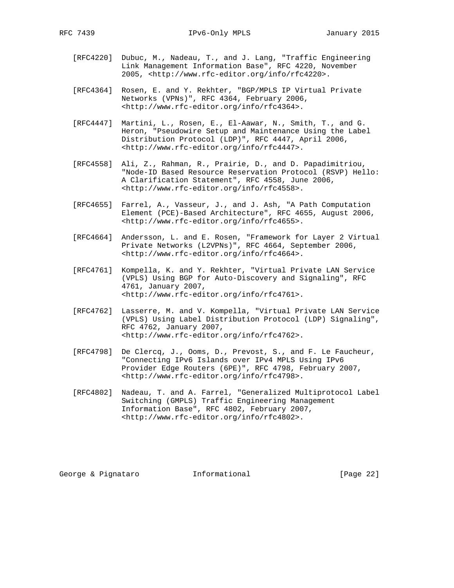- [RFC4220] Dubuc, M., Nadeau, T., and J. Lang, "Traffic Engineering Link Management Information Base", RFC 4220, November 2005, <http://www.rfc-editor.org/info/rfc4220>.
- [RFC4364] Rosen, E. and Y. Rekhter, "BGP/MPLS IP Virtual Private Networks (VPNs)", RFC 4364, February 2006, <http://www.rfc-editor.org/info/rfc4364>.
- [RFC4447] Martini, L., Rosen, E., El-Aawar, N., Smith, T., and G. Heron, "Pseudowire Setup and Maintenance Using the Label Distribution Protocol (LDP)", RFC 4447, April 2006, <http://www.rfc-editor.org/info/rfc4447>.
- [RFC4558] Ali, Z., Rahman, R., Prairie, D., and D. Papadimitriou, "Node-ID Based Resource Reservation Protocol (RSVP) Hello: A Clarification Statement", RFC 4558, June 2006, <http://www.rfc-editor.org/info/rfc4558>.
- [RFC4655] Farrel, A., Vasseur, J., and J. Ash, "A Path Computation Element (PCE)-Based Architecture", RFC 4655, August 2006, <http://www.rfc-editor.org/info/rfc4655>.
- [RFC4664] Andersson, L. and E. Rosen, "Framework for Layer 2 Virtual Private Networks (L2VPNs)", RFC 4664, September 2006, <http://www.rfc-editor.org/info/rfc4664>.
- [RFC4761] Kompella, K. and Y. Rekhter, "Virtual Private LAN Service (VPLS) Using BGP for Auto-Discovery and Signaling", RFC 4761, January 2007, <http://www.rfc-editor.org/info/rfc4761>.
- [RFC4762] Lasserre, M. and V. Kompella, "Virtual Private LAN Service (VPLS) Using Label Distribution Protocol (LDP) Signaling", RFC 4762, January 2007, <http://www.rfc-editor.org/info/rfc4762>.
- [RFC4798] De Clercq, J., Ooms, D., Prevost, S., and F. Le Faucheur, "Connecting IPv6 Islands over IPv4 MPLS Using IPv6 Provider Edge Routers (6PE)", RFC 4798, February 2007, <http://www.rfc-editor.org/info/rfc4798>.
- [RFC4802] Nadeau, T. and A. Farrel, "Generalized Multiprotocol Label Switching (GMPLS) Traffic Engineering Management Information Base", RFC 4802, February 2007, <http://www.rfc-editor.org/info/rfc4802>.

George & Pignataro  $I_n$  Informational [Page 22]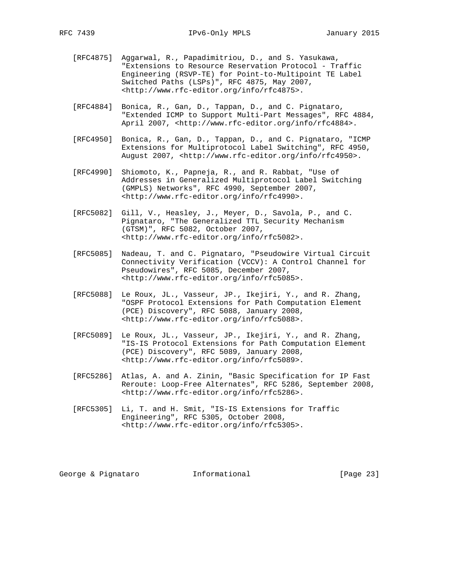- [RFC4875] Aggarwal, R., Papadimitriou, D., and S. Yasukawa, "Extensions to Resource Reservation Protocol - Traffic Engineering (RSVP-TE) for Point-to-Multipoint TE Label Switched Paths (LSPs)", RFC 4875, May 2007, <http://www.rfc-editor.org/info/rfc4875>.
- [RFC4884] Bonica, R., Gan, D., Tappan, D., and C. Pignataro, "Extended ICMP to Support Multi-Part Messages", RFC 4884, April 2007, <http://www.rfc-editor.org/info/rfc4884>.
- [RFC4950] Bonica, R., Gan, D., Tappan, D., and C. Pignataro, "ICMP Extensions for Multiprotocol Label Switching", RFC 4950, August 2007, <http://www.rfc-editor.org/info/rfc4950>.
- [RFC4990] Shiomoto, K., Papneja, R., and R. Rabbat, "Use of Addresses in Generalized Multiprotocol Label Switching (GMPLS) Networks", RFC 4990, September 2007, <http://www.rfc-editor.org/info/rfc4990>.
- [RFC5082] Gill, V., Heasley, J., Meyer, D., Savola, P., and C. Pignataro, "The Generalized TTL Security Mechanism (GTSM)", RFC 5082, October 2007, <http://www.rfc-editor.org/info/rfc5082>.
- [RFC5085] Nadeau, T. and C. Pignataro, "Pseudowire Virtual Circuit Connectivity Verification (VCCV): A Control Channel for Pseudowires", RFC 5085, December 2007, <http://www.rfc-editor.org/info/rfc5085>.
- [RFC5088] Le Roux, JL., Vasseur, JP., Ikejiri, Y., and R. Zhang, "OSPF Protocol Extensions for Path Computation Element (PCE) Discovery", RFC 5088, January 2008, <http://www.rfc-editor.org/info/rfc5088>.
- [RFC5089] Le Roux, JL., Vasseur, JP., Ikejiri, Y., and R. Zhang, "IS-IS Protocol Extensions for Path Computation Element (PCE) Discovery", RFC 5089, January 2008, <http://www.rfc-editor.org/info/rfc5089>.
- [RFC5286] Atlas, A. and A. Zinin, "Basic Specification for IP Fast Reroute: Loop-Free Alternates", RFC 5286, September 2008, <http://www.rfc-editor.org/info/rfc5286>.
- [RFC5305] Li, T. and H. Smit, "IS-IS Extensions for Traffic Engineering", RFC 5305, October 2008, <http://www.rfc-editor.org/info/rfc5305>.

George & Pignataro **Informational** [Page 23]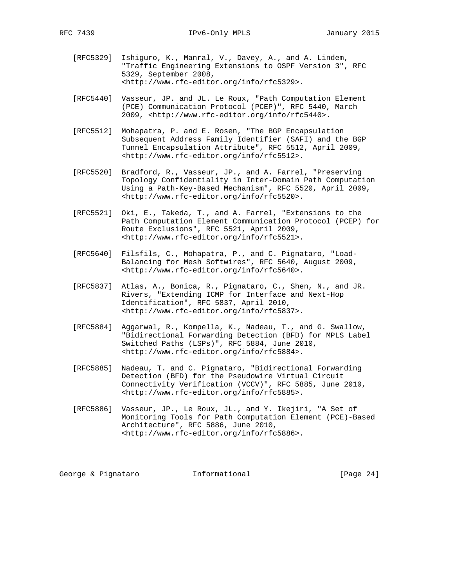- [RFC5329] Ishiguro, K., Manral, V., Davey, A., and A. Lindem, "Traffic Engineering Extensions to OSPF Version 3", RFC 5329, September 2008, <http://www.rfc-editor.org/info/rfc5329>.
- [RFC5440] Vasseur, JP. and JL. Le Roux, "Path Computation Element (PCE) Communication Protocol (PCEP)", RFC 5440, March 2009, <http://www.rfc-editor.org/info/rfc5440>.
- [RFC5512] Mohapatra, P. and E. Rosen, "The BGP Encapsulation Subsequent Address Family Identifier (SAFI) and the BGP Tunnel Encapsulation Attribute", RFC 5512, April 2009, <http://www.rfc-editor.org/info/rfc5512>.
- [RFC5520] Bradford, R., Vasseur, JP., and A. Farrel, "Preserving Topology Confidentiality in Inter-Domain Path Computation Using a Path-Key-Based Mechanism", RFC 5520, April 2009, <http://www.rfc-editor.org/info/rfc5520>.
- [RFC5521] Oki, E., Takeda, T., and A. Farrel, "Extensions to the Path Computation Element Communication Protocol (PCEP) for Route Exclusions", RFC 5521, April 2009, <http://www.rfc-editor.org/info/rfc5521>.
- [RFC5640] Filsfils, C., Mohapatra, P., and C. Pignataro, "Load- Balancing for Mesh Softwires", RFC 5640, August 2009, <http://www.rfc-editor.org/info/rfc5640>.
- [RFC5837] Atlas, A., Bonica, R., Pignataro, C., Shen, N., and JR. Rivers, "Extending ICMP for Interface and Next-Hop Identification", RFC 5837, April 2010, <http://www.rfc-editor.org/info/rfc5837>.
- [RFC5884] Aggarwal, R., Kompella, K., Nadeau, T., and G. Swallow, "Bidirectional Forwarding Detection (BFD) for MPLS Label Switched Paths (LSPs)", RFC 5884, June 2010, <http://www.rfc-editor.org/info/rfc5884>.
- [RFC5885] Nadeau, T. and C. Pignataro, "Bidirectional Forwarding Detection (BFD) for the Pseudowire Virtual Circuit Connectivity Verification (VCCV)", RFC 5885, June 2010, <http://www.rfc-editor.org/info/rfc5885>.
- [RFC5886] Vasseur, JP., Le Roux, JL., and Y. Ikejiri, "A Set of Monitoring Tools for Path Computation Element (PCE)-Based Architecture", RFC 5886, June 2010, <http://www.rfc-editor.org/info/rfc5886>.

George & Pignataro  $I_n$  Informational [Page 24]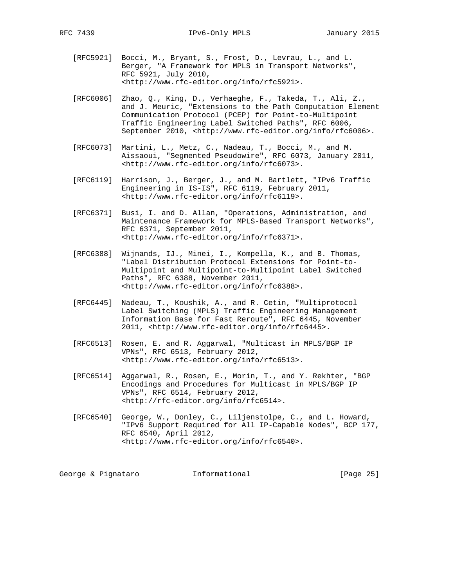- [RFC5921] Bocci, M., Bryant, S., Frost, D., Levrau, L., and L. Berger, "A Framework for MPLS in Transport Networks", RFC 5921, July 2010, <http://www.rfc-editor.org/info/rfc5921>.
- [RFC6006] Zhao, Q., King, D., Verhaeghe, F., Takeda, T., Ali, Z., and J. Meuric, "Extensions to the Path Computation Element Communication Protocol (PCEP) for Point-to-Multipoint Traffic Engineering Label Switched Paths", RFC 6006, September 2010, <http://www.rfc-editor.org/info/rfc6006>.
- [RFC6073] Martini, L., Metz, C., Nadeau, T., Bocci, M., and M. Aissaoui, "Segmented Pseudowire", RFC 6073, January 2011, <http://www.rfc-editor.org/info/rfc6073>.
- [RFC6119] Harrison, J., Berger, J., and M. Bartlett, "IPv6 Traffic Engineering in IS-IS", RFC 6119, February 2011, <http://www.rfc-editor.org/info/rfc6119>.
- [RFC6371] Busi, I. and D. Allan, "Operations, Administration, and Maintenance Framework for MPLS-Based Transport Networks", RFC 6371, September 2011, <http://www.rfc-editor.org/info/rfc6371>.
- [RFC6388] Wijnands, IJ., Minei, I., Kompella, K., and B. Thomas, "Label Distribution Protocol Extensions for Point-to- Multipoint and Multipoint-to-Multipoint Label Switched Paths", RFC 6388, November 2011, <http://www.rfc-editor.org/info/rfc6388>.
- [RFC6445] Nadeau, T., Koushik, A., and R. Cetin, "Multiprotocol Label Switching (MPLS) Traffic Engineering Management Information Base for Fast Reroute", RFC 6445, November 2011, <http://www.rfc-editor.org/info/rfc6445>.
- [RFC6513] Rosen, E. and R. Aggarwal, "Multicast in MPLS/BGP IP VPNs", RFC 6513, February 2012, <http://www.rfc-editor.org/info/rfc6513>.
- [RFC6514] Aggarwal, R., Rosen, E., Morin, T., and Y. Rekhter, "BGP Encodings and Procedures for Multicast in MPLS/BGP IP VPNs", RFC 6514, February 2012, <http://rfc-editor.org/info/rfc6514>.
- [RFC6540] George, W., Donley, C., Liljenstolpe, C., and L. Howard, "IPv6 Support Required for All IP-Capable Nodes", BCP 177, RFC 6540, April 2012, <http://www.rfc-editor.org/info/rfc6540>.

George & Pignataro  $I_n$  Informational [Page 25]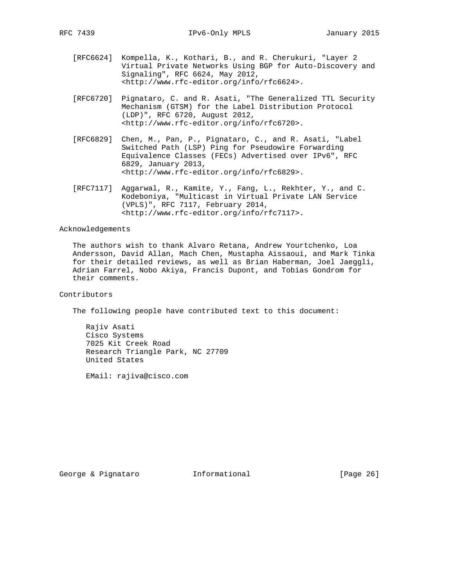- [RFC6624] Kompella, K., Kothari, B., and R. Cherukuri, "Layer 2 Virtual Private Networks Using BGP for Auto-Discovery and Signaling", RFC 6624, May 2012, <http://www.rfc-editor.org/info/rfc6624>.
- [RFC6720] Pignataro, C. and R. Asati, "The Generalized TTL Security Mechanism (GTSM) for the Label Distribution Protocol (LDP)", RFC 6720, August 2012, <http://www.rfc-editor.org/info/rfc6720>.
- [RFC6829] Chen, M., Pan, P., Pignataro, C., and R. Asati, "Label Switched Path (LSP) Ping for Pseudowire Forwarding Equivalence Classes (FECs) Advertised over IPv6", RFC 6829, January 2013, <http://www.rfc-editor.org/info/rfc6829>.
- [RFC7117] Aggarwal, R., Kamite, Y., Fang, L., Rekhter, Y., and C. Kodeboniya, "Multicast in Virtual Private LAN Service (VPLS)", RFC 7117, February 2014, <http://www.rfc-editor.org/info/rfc7117>.

# Acknowledgements

 The authors wish to thank Alvaro Retana, Andrew Yourtchenko, Loa Andersson, David Allan, Mach Chen, Mustapha Aissaoui, and Mark Tinka for their detailed reviews, as well as Brian Haberman, Joel Jaeggli, Adrian Farrel, Nobo Akiya, Francis Dupont, and Tobias Gondrom for their comments.

Contributors

The following people have contributed text to this document:

 Rajiv Asati Cisco Systems 7025 Kit Creek Road Research Triangle Park, NC 27709 United States

EMail: rajiva@cisco.com

George & Pignataro  $I_n$  Informational [Page 26]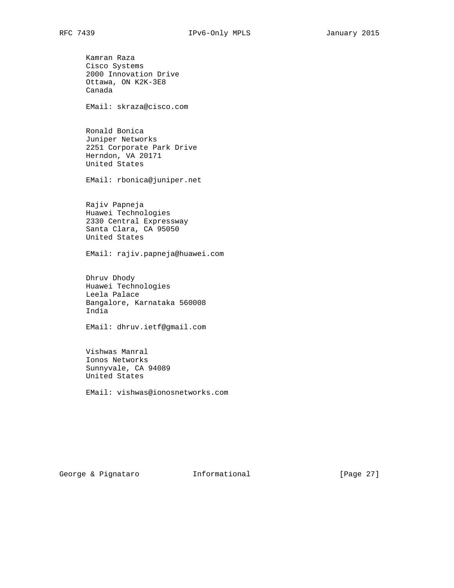Kamran Raza Cisco Systems 2000 Innovation Drive Ottawa, ON K2K-3E8 Canada

EMail: skraza@cisco.com

 Ronald Bonica Juniper Networks 2251 Corporate Park Drive Herndon, VA 20171 United States

EMail: rbonica@juniper.net

 Rajiv Papneja Huawei Technologies 2330 Central Expressway Santa Clara, CA 95050 United States

EMail: rajiv.papneja@huawei.com

 Dhruv Dhody Huawei Technologies Leela Palace Bangalore, Karnataka 560008 India

EMail: dhruv.ietf@gmail.com

 Vishwas Manral Ionos Networks Sunnyvale, CA 94089 United States

EMail: vishwas@ionosnetworks.com

George & Pignataro  $I_n$  Informational [Page 27]